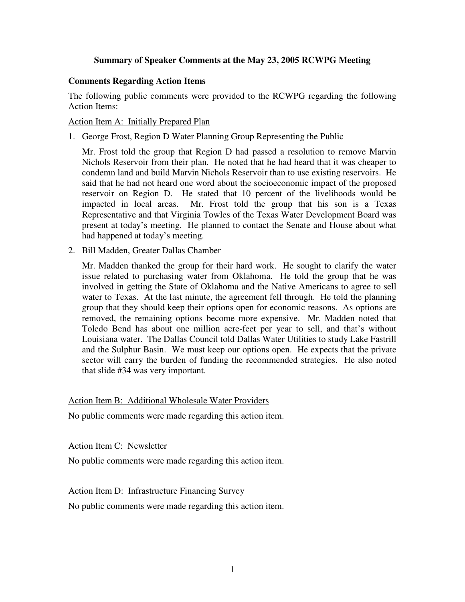## **Summary of Speaker Comments at the May 23, 2005 RCWPG Meeting**

## **Comments Regarding Action Items**

The following public comments were provided to the RCWPG regarding the following Action Items:

### Action Item A: Initially Prepared Plan

1. George Frost, Region D Water Planning Group Representing the Public

Mr. Frost told the group that Region D had passed a resolution to remove Marvin Nichols Reservoir from their plan. He noted that he had heard that it was cheaper to condemn land and build Marvin Nichols Reservoir than to use existing reservoirs. He said that he had not heard one word about the socioeconomic impact of the proposed reservoir on Region D. He stated that 10 percent of the livelihoods would be impacted in local areas. Mr. Frost told the group that his son is a Texas Representative and that Virginia Towles of the Texas Water Development Board was present at today's meeting. He planned to contact the Senate and House about what had happened at today's meeting.

2. Bill Madden, Greater Dallas Chamber

Mr. Madden thanked the group for their hard work. He sought to clarify the water issue related to purchasing water from Oklahoma. He told the group that he was involved in getting the State of Oklahoma and the Native Americans to agree to sell water to Texas. At the last minute, the agreement fell through. He told the planning group that they should keep their options open for economic reasons. As options are removed, the remaining options become more expensive. Mr. Madden noted that Toledo Bend has about one million acre-feet per year to sell, and that's without Louisiana water. The Dallas Council told Dallas Water Utilities to study Lake Fastrill and the Sulphur Basin. We must keep our options open. He expects that the private sector will carry the burden of funding the recommended strategies. He also noted that slide #34 was very important.

#### Action Item B: Additional Wholesale Water Providers

No public comments were made regarding this action item.

#### Action Item C: Newsletter

No public comments were made regarding this action item.

## Action Item D: Infrastructure Financing Survey

No public comments were made regarding this action item.